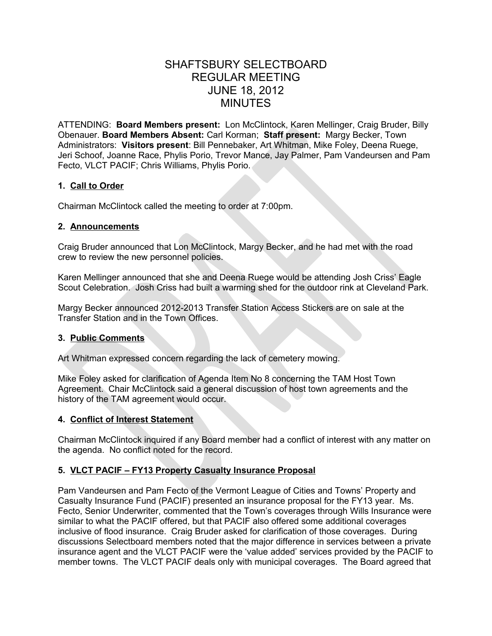# SHAFTSBURY SELECTBOARD REGULAR MEETING JUNE 18, 2012 MINUTES

ATTENDING: **Board Members present:** Lon McClintock, Karen Mellinger, Craig Bruder, Billy Obenauer. **Board Members Absent:** Carl Korman; **Staff present:** Margy Becker, Town Administrators: **Visitors present**: Bill Pennebaker, Art Whitman, Mike Foley, Deena Ruege, Jeri Schoof, Joanne Race, Phylis Porio, Trevor Mance, Jay Palmer, Pam Vandeursen and Pam Fecto, VLCT PACIF; Chris Williams, Phylis Porio.

### **1. Call to Order**

Chairman McClintock called the meeting to order at 7:00pm.

## **2. Announcements**

Craig Bruder announced that Lon McClintock, Margy Becker, and he had met with the road crew to review the new personnel policies.

Karen Mellinger announced that she and Deena Ruege would be attending Josh Criss' Eagle Scout Celebration. Josh Criss had built a warming shed for the outdoor rink at Cleveland Park.

Margy Becker announced 2012-2013 Transfer Station Access Stickers are on sale at the Transfer Station and in the Town Offices.

# **3. Public Comments**

Art Whitman expressed concern regarding the lack of cemetery mowing.

Mike Foley asked for clarification of Agenda Item No 8 concerning the TAM Host Town Agreement. Chair McClintock said a general discussion of host town agreements and the history of the TAM agreement would occur.

# **4. Conflict of Interest Statement**

Chairman McClintock inquired if any Board member had a conflict of interest with any matter on the agenda. No conflict noted for the record.

# **5. VLCT PACIF – FY13 Property Casualty Insurance Proposal**

Pam Vandeursen and Pam Fecto of the Vermont League of Cities and Towns' Property and Casualty Insurance Fund (PACIF) presented an insurance proposal for the FY13 year. Ms. Fecto, Senior Underwriter, commented that the Town's coverages through Wills Insurance were similar to what the PACIF offered, but that PACIF also offered some additional coverages inclusive of flood insurance. Craig Bruder asked for clarification of those coverages. During discussions Selectboard members noted that the major difference in services between a private insurance agent and the VLCT PACIF were the 'value added' services provided by the PACIF to member towns. The VLCT PACIF deals only with municipal coverages. The Board agreed that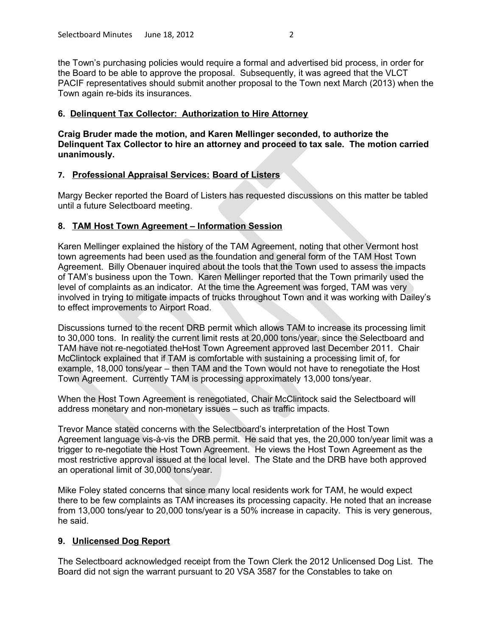the Town's purchasing policies would require a formal and advertised bid process, in order for the Board to be able to approve the proposal. Subsequently, it was agreed that the VLCT PACIF representatives should submit another proposal to the Town next March (2013) when the Town again re-bids its insurances.

#### **6. Delinquent Tax Collector: Authorization to Hire Attorney**

**Craig Bruder made the motion, and Karen Mellinger seconded, to authorize the Delinquent Tax Collector to hire an attorney and proceed to tax sale. The motion carried unanimously.**

#### **7. Professional Appraisal Services: Board of Listers**

Margy Becker reported the Board of Listers has requested discussions on this matter be tabled until a future Selectboard meeting.

#### **8. TAM Host Town Agreement – Information Session**

Karen Mellinger explained the history of the TAM Agreement, noting that other Vermont host town agreements had been used as the foundation and general form of the TAM Host Town Agreement. Billy Obenauer inquired about the tools that the Town used to assess the impacts of TAM's business upon the Town. Karen Mellinger reported that the Town primarily used the level of complaints as an indicator. At the time the Agreement was forged, TAM was very involved in trying to mitigate impacts of trucks throughout Town and it was working with Dailey's to effect improvements to Airport Road.

Discussions turned to the recent DRB permit which allows TAM to increase its processing limit to 30,000 tons. In reality the current limit rests at 20,000 tons/year, since the Selectboard and TAM have not re-negotiated theHost Town Agreement approved last December 2011. Chair McClintock explained that if TAM is comfortable with sustaining a processing limit of, for example, 18,000 tons/year – then TAM and the Town would not have to renegotiate the Host Town Agreement. Currently TAM is processing approximately 13,000 tons/year.

When the Host Town Agreement is renegotiated, Chair McClintock said the Selectboard will address monetary and non-monetary issues – such as traffic impacts.

Trevor Mance stated concerns with the Selectboard's interpretation of the Host Town Agreement language vis-à-vis the DRB permit. He said that yes, the 20,000 ton/year limit was a trigger to re-negotiate the Host Town Agreement. He views the Host Town Agreement as the most restrictive approval issued at the local level. The State and the DRB have both approved an operational limit of 30,000 tons/year.

Mike Foley stated concerns that since many local residents work for TAM, he would expect there to be few complaints as TAM increases its processing capacity. He noted that an increase from 13,000 tons/year to 20,000 tons/year is a 50% increase in capacity. This is very generous, he said.

### **9. Unlicensed Dog Report**

The Selectboard acknowledged receipt from the Town Clerk the 2012 Unlicensed Dog List. The Board did not sign the warrant pursuant to 20 VSA 3587 for the Constables to take on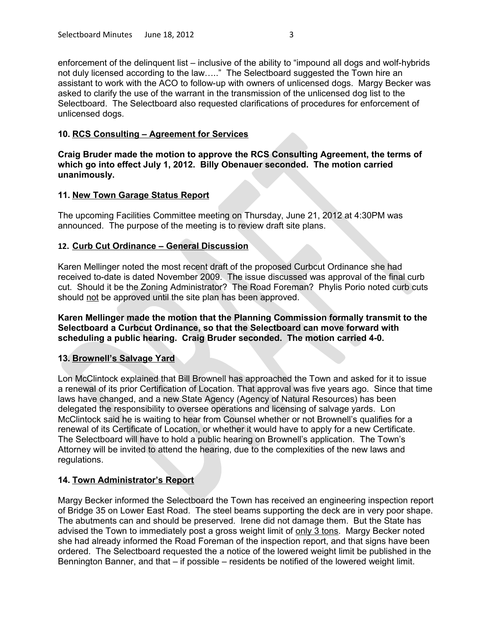enforcement of the delinquent list – inclusive of the ability to "impound all dogs and wolf-hybrids not duly licensed according to the law….." The Selectboard suggested the Town hire an assistant to work with the ACO to follow-up with owners of unlicensed dogs. Margy Becker was asked to clarify the use of the warrant in the transmission of the unlicensed dog list to the Selectboard. The Selectboard also requested clarifications of procedures for enforcement of unlicensed dogs.

## **10. RCS Consulting – Agreement for Services**

**Craig Bruder made the motion to approve the RCS Consulting Agreement, the terms of which go into effect July 1, 2012. Billy Obenauer seconded. The motion carried unanimously.**

## **11. New Town Garage Status Report**

The upcoming Facilities Committee meeting on Thursday, June 21, 2012 at 4:30PM was announced. The purpose of the meeting is to review draft site plans.

## **12. Curb Cut Ordinance – General Discussion**

Karen Mellinger noted the most recent draft of the proposed Curbcut Ordinance she had received to-date is dated November 2009. The issue discussed was approval of the final curb cut. Should it be the Zoning Administrator? The Road Foreman? Phylis Porio noted curb cuts should not be approved until the site plan has been approved.

**Karen Mellinger made the motion that the Planning Commission formally transmit to the Selectboard a Curbcut Ordinance, so that the Selectboard can move forward with scheduling a public hearing. Craig Bruder seconded. The motion carried 4-0.** 

# **13. Brownell's Salvage Yard**

Lon McClintock explained that Bill Brownell has approached the Town and asked for it to issue a renewal of its prior Certification of Location. That approval was five years ago. Since that time laws have changed, and a new State Agency (Agency of Natural Resources) has been delegated the responsibility to oversee operations and licensing of salvage yards. Lon McClintock said he is waiting to hear from Counsel whether or not Brownell's qualifies for a renewal of its Certificate of Location, or whether it would have to apply for a new Certificate. The Selectboard will have to hold a public hearing on Brownell's application. The Town's Attorney will be invited to attend the hearing, due to the complexities of the new laws and regulations.

### **14. Town Administrator's Report**

Margy Becker informed the Selectboard the Town has received an engineering inspection report of Bridge 35 on Lower East Road. The steel beams supporting the deck are in very poor shape. The abutments can and should be preserved. Irene did not damage them. But the State has advised the Town to immediately post a gross weight limit of only 3 tons. Margy Becker noted she had already informed the Road Foreman of the inspection report, and that signs have been ordered. The Selectboard requested the a notice of the lowered weight limit be published in the Bennington Banner, and that – if possible – residents be notified of the lowered weight limit.